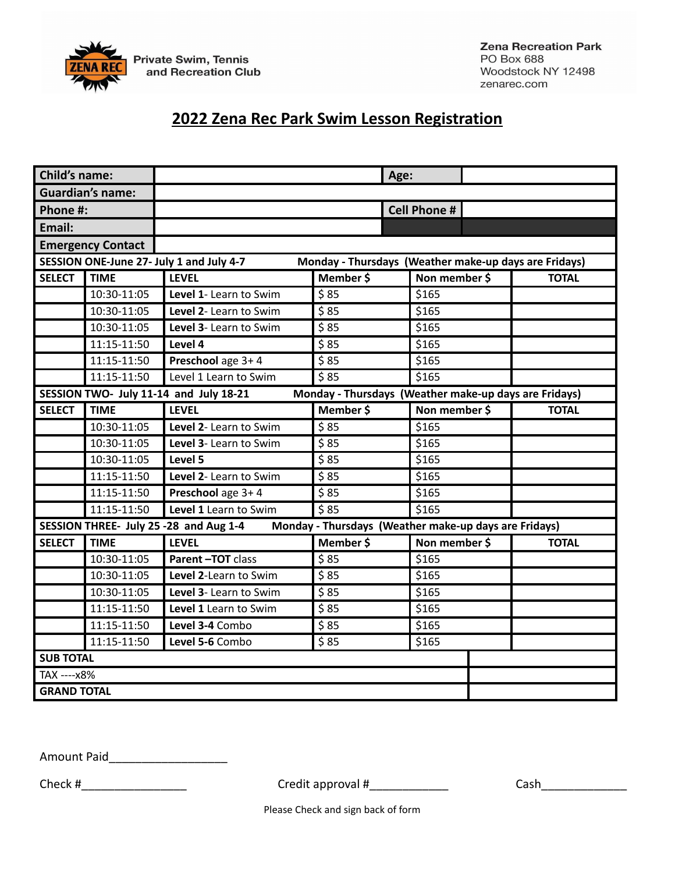

# **2022 Zena Rec Park Swim Lesson Registration**

| <b>Child's name:</b>                                                                            |                         |                                                                                                   |                 | Age:                |  |              |
|-------------------------------------------------------------------------------------------------|-------------------------|---------------------------------------------------------------------------------------------------|-----------------|---------------------|--|--------------|
|                                                                                                 | <b>Guardian's name:</b> |                                                                                                   |                 |                     |  |              |
| Phone #:                                                                                        |                         |                                                                                                   |                 | <b>Cell Phone #</b> |  |              |
| Email:                                                                                          |                         |                                                                                                   |                 |                     |  |              |
| <b>Emergency Contact</b>                                                                        |                         |                                                                                                   |                 |                     |  |              |
|                                                                                                 |                         | SESSION ONE-June 27- July 1 and July 4-7<br>Monday - Thursdays (Weather make-up days are Fridays) |                 |                     |  |              |
| <b>SELECT</b>                                                                                   | <b>TIME</b>             | <b>LEVEL</b>                                                                                      | Member \$       | Non member \$       |  | <b>TOTAL</b> |
|                                                                                                 | 10:30-11:05             | Level 1- Learn to Swim                                                                            | \$85            | \$165               |  |              |
|                                                                                                 | 10:30-11:05             | Level 2- Learn to Swim                                                                            | \$85            | \$165               |  |              |
|                                                                                                 | 10:30-11:05             | Level 3- Learn to Swim                                                                            | 585             | \$165               |  |              |
|                                                                                                 | 11:15-11:50             | Level 4                                                                                           | \$85            | \$165               |  |              |
|                                                                                                 | 11:15-11:50             | Preschool age 3+4                                                                                 | \$85            | \$165               |  |              |
|                                                                                                 | 11:15-11:50             | Level 1 Learn to Swim                                                                             | $\frac{1}{585}$ | \$165               |  |              |
| SESSION TWO- July 11-14 and July 18-21<br>Monday - Thursdays (Weather make-up days are Fridays) |                         |                                                                                                   |                 |                     |  |              |
| <b>SELECT</b>                                                                                   | <b>TIME</b>             | <b>LEVEL</b>                                                                                      | Member \$       | Non member \$       |  | <b>TOTAL</b> |
|                                                                                                 | 10:30-11:05             | Level 2- Learn to Swim                                                                            | \$85            | $$16\overline{5}$   |  |              |
|                                                                                                 | 10:30-11:05             | Level 3- Learn to Swim                                                                            | \$85            | \$165               |  |              |
|                                                                                                 | 10:30-11:05             | Level 5                                                                                           | \$85            | \$165               |  |              |
|                                                                                                 | 11:15-11:50             | Level 2- Learn to Swim                                                                            | \$85            | \$165               |  |              |
|                                                                                                 | 11:15-11:50             | Preschool age 3+4                                                                                 | \$85            | \$165               |  |              |
|                                                                                                 | 11:15-11:50             | Level 1 Learn to Swim                                                                             | \$85            | \$165               |  |              |
| SESSION THREE- July 25 -28 and Aug 1-4<br>Monday - Thursdays (Weather make-up days are Fridays) |                         |                                                                                                   |                 |                     |  |              |
| <b>SELECT</b>                                                                                   | <b>TIME</b>             | <b>LEVEL</b>                                                                                      | Member \$       | Non member \$       |  | <b>TOTAL</b> |
|                                                                                                 | 10:30-11:05             | Parent-TOT class                                                                                  | \$85            | \$165               |  |              |
|                                                                                                 | 10:30-11:05             | Level 2-Learn to Swim                                                                             | \$85            | \$165               |  |              |
|                                                                                                 | 10:30-11:05             | Level 3- Learn to Swim                                                                            | \$85            | \$165               |  |              |
|                                                                                                 | 11:15-11:50             | Level 1 Learn to Swim                                                                             | \$85            | \$165               |  |              |
|                                                                                                 | 11:15-11:50             | Level 3-4 Combo                                                                                   | \$85            | \$165               |  |              |
|                                                                                                 | 11:15-11:50             | Level 5-6 Combo                                                                                   | \$85            | \$165               |  |              |
| <b>SUB TOTAL</b>                                                                                |                         |                                                                                                   |                 |                     |  |              |
| TAX ---- x8%                                                                                    |                         |                                                                                                   |                 |                     |  |              |
| <b>GRAND TOTAL</b>                                                                              |                         |                                                                                                   |                 |                     |  |              |

Amount Paid\_\_\_\_\_\_\_\_\_\_\_\_\_\_\_\_\_\_

Check #\_\_\_\_\_\_\_\_\_\_\_\_\_\_\_\_ Credit approval #\_\_\_\_\_\_\_\_\_\_\_\_ Cash\_\_\_\_\_\_\_\_\_\_\_\_\_

Please Check and sign back of form